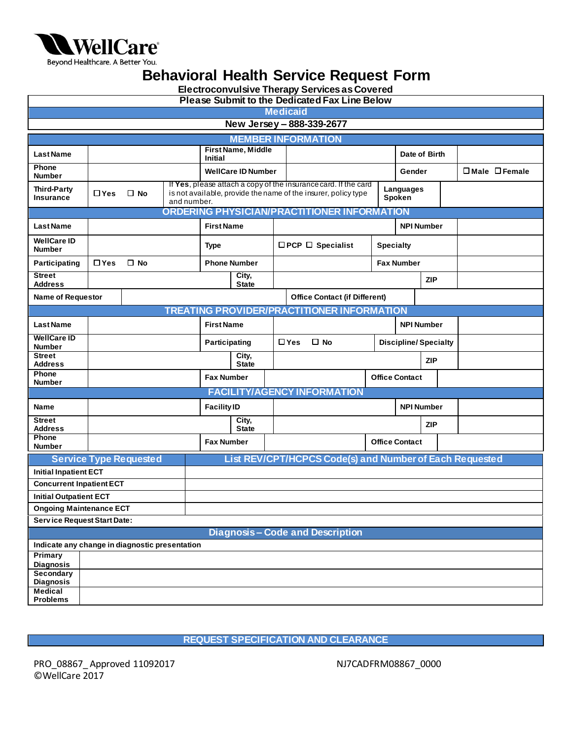

Beyond Healthcare. A Better You.

## **Behavioral Health Service Request Form**

**Electroconvulsive Therapy Services as Covered**

| <b>Please Submit to the Dedicated Fax Line Below</b> |                                    |                                                                                                                                                               |                                     |                                      |                       |                              |                                                         |                  |                             |                   |                                 |
|------------------------------------------------------|------------------------------------|---------------------------------------------------------------------------------------------------------------------------------------------------------------|-------------------------------------|--------------------------------------|-----------------------|------------------------------|---------------------------------------------------------|------------------|-----------------------------|-------------------|---------------------------------|
| <b>Medicaid</b>                                      |                                    |                                                                                                                                                               |                                     |                                      |                       |                              |                                                         |                  |                             |                   |                                 |
| New Jersey - 888-339-2677                            |                                    |                                                                                                                                                               |                                     |                                      |                       |                              |                                                         |                  |                             |                   |                                 |
| <b>MEMBER INFORMATION</b>                            |                                    |                                                                                                                                                               |                                     |                                      |                       |                              |                                                         |                  |                             |                   |                                 |
| <b>Last Name</b>                                     |                                    |                                                                                                                                                               |                                     | First Name, Middle<br><b>Initial</b> |                       |                              |                                                         |                  | Date of Birth               |                   |                                 |
| Phone<br><b>Number</b>                               |                                    |                                                                                                                                                               |                                     | <b>WellCare ID Number</b>            |                       |                              |                                                         |                  | Gender                      |                   | $\square$ Male $\square$ Female |
| <b>Third-Party</b><br><b>Insurance</b>               | $\Box$ Yes                         | If Yes, please attach a copy of the insurance card. If the card<br>is not available, provide the name of the insurer, policy type<br>$\Box$ No<br>and number. |                                     |                                      |                       | Languages<br>Spoken          |                                                         |                  |                             |                   |                                 |
|                                                      |                                    |                                                                                                                                                               |                                     |                                      |                       |                              | <b>ORDERING PHYSICIAN/PRACTITIONER INFORMATION</b>      |                  |                             |                   |                                 |
| <b>Last Name</b>                                     |                                    |                                                                                                                                                               |                                     | <b>First Name</b>                    |                       |                              |                                                         |                  | <b>NPI Number</b>           |                   |                                 |
| <b>WellCare ID</b><br><b>Number</b>                  |                                    |                                                                                                                                                               | <b>Type</b>                         |                                      |                       | $\Box$ PCP $\Box$ Specialist |                                                         | <b>Specialty</b> |                             |                   |                                 |
| Participating                                        | $\Box$ Yes                         | $\square$ No                                                                                                                                                  |                                     |                                      | <b>Phone Number</b>   |                              |                                                         |                  | <b>Fax Number</b>           |                   |                                 |
| <b>Street</b><br><b>Address</b>                      |                                    |                                                                                                                                                               |                                     |                                      | City,<br><b>State</b> |                              |                                                         |                  |                             | <b>ZIP</b>        |                                 |
| <b>Name of Requestor</b>                             |                                    |                                                                                                                                                               |                                     |                                      |                       |                              | <b>Office Contact (if Different)</b>                    |                  |                             |                   |                                 |
|                                                      |                                    |                                                                                                                                                               |                                     |                                      |                       |                              | <b>TREATING PROVIDER/PRACTITIONER INFORMATION</b>       |                  |                             |                   |                                 |
| <b>Last Name</b>                                     |                                    |                                                                                                                                                               |                                     | <b>First Name</b>                    |                       |                              |                                                         |                  |                             | <b>NPI Number</b> |                                 |
| <b>WellCare ID</b><br><b>Number</b>                  |                                    |                                                                                                                                                               |                                     | Participating                        |                       |                              | $\Box$ Yes<br>$\Box$ No                                 |                  | <b>Discipline/Specialty</b> |                   |                                 |
| <b>Street</b><br><b>Address</b>                      |                                    |                                                                                                                                                               |                                     |                                      | City,<br><b>State</b> |                              |                                                         |                  | <b>ZIP</b>                  |                   |                                 |
| Phone<br><b>Number</b>                               |                                    |                                                                                                                                                               |                                     | <b>Fax Number</b>                    |                       |                              |                                                         |                  | <b>Office Contact</b>       |                   |                                 |
|                                                      | <b>FACILITY/AGENCY INFORMATION</b> |                                                                                                                                                               |                                     |                                      |                       |                              |                                                         |                  |                             |                   |                                 |
| Name                                                 |                                    |                                                                                                                                                               |                                     | <b>Facility ID</b>                   |                       |                              |                                                         |                  | <b>NPI Number</b>           |                   |                                 |
| <b>Street</b><br><b>Address</b>                      |                                    |                                                                                                                                                               | $\overline{City}$ ,<br><b>State</b> |                                      |                       |                              |                                                         | <b>ZIP</b>       |                             |                   |                                 |
| Phone<br><b>Number</b>                               |                                    |                                                                                                                                                               |                                     | <b>Fax Number</b>                    |                       |                              |                                                         |                  | <b>Office Contact</b>       |                   |                                 |
|                                                      |                                    | <b>Service Type Requested</b>                                                                                                                                 |                                     |                                      |                       |                              | List REV/CPT/HCPCS Code(s) and Number of Each Requested |                  |                             |                   |                                 |
| <b>Initial Inpatient ECT</b>                         |                                    |                                                                                                                                                               |                                     |                                      |                       |                              |                                                         |                  |                             |                   |                                 |
| <b>Concurrent Inpatient ECT</b>                      |                                    |                                                                                                                                                               |                                     |                                      |                       |                              |                                                         |                  |                             |                   |                                 |
| <b>Initial Outpatient ECT</b>                        |                                    |                                                                                                                                                               |                                     |                                      |                       |                              |                                                         |                  |                             |                   |                                 |
| <b>Ongoing Maintenance ECT</b>                       |                                    |                                                                                                                                                               |                                     |                                      |                       |                              |                                                         |                  |                             |                   |                                 |
| <b>Service Request Start Date:</b>                   |                                    |                                                                                                                                                               |                                     |                                      |                       |                              |                                                         |                  |                             |                   |                                 |
| <b>Diagnosis-Code and Description</b>                |                                    |                                                                                                                                                               |                                     |                                      |                       |                              |                                                         |                  |                             |                   |                                 |
| Indicate any change in diagnostic presentation       |                                    |                                                                                                                                                               |                                     |                                      |                       |                              |                                                         |                  |                             |                   |                                 |
| Primary<br><b>Diagnosis</b>                          |                                    |                                                                                                                                                               |                                     |                                      |                       |                              |                                                         |                  |                             |                   |                                 |
| <b>Secondary</b><br><b>Diagnosis</b>                 |                                    |                                                                                                                                                               |                                     |                                      |                       |                              |                                                         |                  |                             |                   |                                 |
| <b>Medical</b><br><b>Problems</b>                    |                                    |                                                                                                                                                               |                                     |                                      |                       |                              |                                                         |                  |                             |                   |                                 |

**REQUEST SPECIFICATION AND CLEARANCE**

PRO\_08867\_Approved 11092017 NJ7CADFRM08867\_0000 ©WellCare 2017